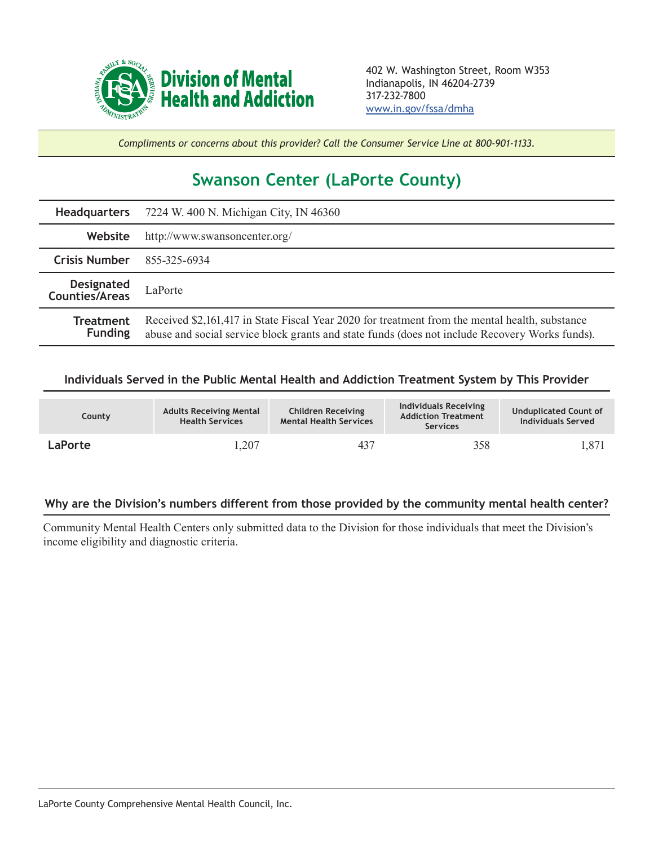

*Compliments or concerns about this provider? Call the Consumer Service Line at 800-901-1133.*

## **Swanson Center (LaPorte County)**

|                                     | Headquarters 7224 W. 400 N. Michigan City, IN 46360                                                                                                                                              |  |  |  |
|-------------------------------------|--------------------------------------------------------------------------------------------------------------------------------------------------------------------------------------------------|--|--|--|
| Website                             | http://www.swansoncenter.org/                                                                                                                                                                    |  |  |  |
| <b>Crisis Number</b>                | 855-325-6934                                                                                                                                                                                     |  |  |  |
| <b>Designated</b><br>Counties/Areas | LaPorte                                                                                                                                                                                          |  |  |  |
| <b>Treatment</b><br><b>Funding</b>  | Received \$2,161,417 in State Fiscal Year 2020 for treatment from the mental health, substance<br>abuse and social service block grants and state funds (does not include Recovery Works funds). |  |  |  |

## **Individuals Served in the Public Mental Health and Addiction Treatment System by This Provider**

| County         | <b>Adults Receiving Mental</b><br><b>Health Services</b> | <b>Children Receiving</b><br><b>Mental Health Services</b> | Individuals Receiving<br><b>Addiction Treatment</b><br><b>Services</b> | <b>Unduplicated Count of</b><br><b>Individuals Served</b> |
|----------------|----------------------------------------------------------|------------------------------------------------------------|------------------------------------------------------------------------|-----------------------------------------------------------|
| <b>LaPorte</b> | .,207                                                    | 437                                                        | 358                                                                    | 1,871                                                     |

## **Why are the Division's numbers different from those provided by the community mental health center?**

Community Mental Health Centers only submitted data to the Division for those individuals that meet the Division's income eligibility and diagnostic criteria.